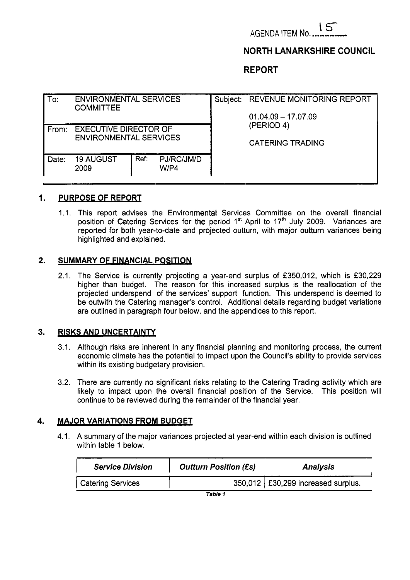

# **NORTH LANARKSHIRE COUNCIL**

**REPORT** 

| To:   | <b>ENVIRONMENTAL SERVICES</b><br><b>COMMITTEE</b> |      |                    |  | Subject: REVENUE MONITORING REPORT |  |  |  |
|-------|---------------------------------------------------|------|--------------------|--|------------------------------------|--|--|--|
|       |                                                   |      |                    |  | $01.04.09 - 17.07.09$              |  |  |  |
| From: | <b>EXECUTIVE DIRECTOR OF</b>                      |      |                    |  | (PERIOD 4)                         |  |  |  |
|       | <b>ENVIRONMENTAL SERVICES</b>                     |      |                    |  | <b>CATERING TRADING</b>            |  |  |  |
| Date: | <b>19 AUGUST</b><br>2009                          | Ref: | PJ/RC/JM/D<br>W/P4 |  |                                    |  |  |  |
|       |                                                   |      |                    |  |                                    |  |  |  |

#### **I. PURPOSE OF REPORT**

1.1. This report advises the Environmental Services Committee on the overall financial position of Catering Services for the period 1<sup>st</sup> April to 17<sup>th</sup> July 2009. Variances are reported for both year-to-date and projected outturn, with major outturn variances being highlighted and explained.

#### **2. SUMMARY OF FINANCIAL POSITION**

2.1. The Service is currently projecting a year-end surplus of £350,012, which is £30,229 higher than budget. The reason for this increased surplus is the reallocation of the projected underspend of the services' support function. This underspend is deemed to be outwith the Catering manager's control. Additional details regarding budget variations are outlined in paragraph four below, and the appendices to this report.

### **3. RISKS AND UNCERTAINTY**

- 3.1. Although risks are inherent in any financial planning and monitoring process, the current economic climate has the potential to impact upon the Council's ability to provide services within its existing budgetary provision.
- 3.2. There are currently no significant risks relating to the Catering Trading activity which are likely to impact upon the overall financial position of the Service. This position will continue to be reviewed during the remainder of the financial year.

### **4. MAJOR VARIATIONS FROM BUDGET**

4.1. A summary of the major variances projected at year-end within each division is outlined within table 1 below.

| <b>Service Division</b>  | <b>Outturn Position (£s)</b> | <b>Analysis</b>                      |
|--------------------------|------------------------------|--------------------------------------|
| <b>Catering Services</b> |                              | 350,012   £30,299 increased surplus. |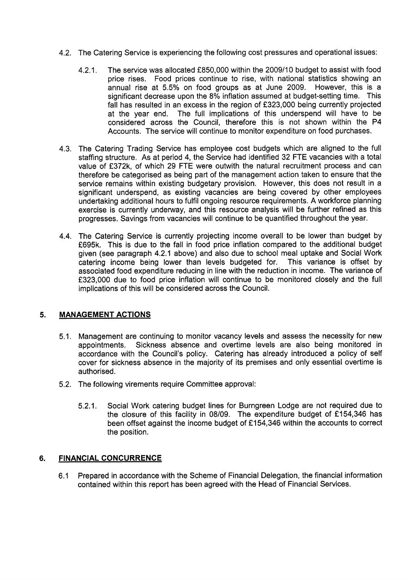- 4.2. The Catering Service is experiencing the following cost pressures and operational issues:
	- 4.2.1. The service was allocated f 850,000 within the 2009/10 budget to assist with food price rises. Food prices continue to rise, with national statistics showing an annual rise at *5.5%* on food groups as at June 2009. However, this is a significant decrease upon the 8% inflation assumed at budget-setting time. This fall has resulted in an excess in the region of £323,000 being currently projected at the year end. The full implications of this underspend will have to be The full implications of this underspend will have to be considered across the Council, therefore this is not shown within the P4 Accounts. The service will continue to monitor expenditure on food purchases.
- 4.3. The Catering Trading Service has employee cost budgets which are aligned to the full staffing structure. As at period 4, the Service had identified 32 FTE vacancies with a total value of £372k, of which 29 FTE were outwith the natural recruitment process and can therefore be categorised as being part of the management action taken to ensure that the service remains within existing budgetary provision. However, this does not result in a significant underspend, as existing vacancies are being covered by other employees undertaking additional hours to fulfil ongoing resource requirements. A workforce planning exercise is currently underway, and this resource analysis will be further refined as this progresses. Savings from vacancies will continue to be quantified throughout the year.
- 4.4. The Catering Service is currently projecting income overall to be lower than budget by f695k. This is due to the fall in food price inflation compared to the additional budget given (see paragraph 4.2.1 above) and also due to school meal uptake and Social Work catering income being lower than levels budgeted for. This variance is offset by associated food expenditure reducing in line with the reduction in income. The variance of f323,OOO due to food price inflation will continue to be monitored closely and the full implications of this will be considered across the Council.

# **5. MANAGEMENT ACTIONS**

- 5.1. Management are continuing to monitor vacancy levels and assess the necessity for new appointments. Sickness absence and overtime levels are also being monitored in accordance with the Council's policy. Catering has already introduced a policy of self cover for sickness absence in the majority of its premises and only essential overtime is authorised.
- 5.2. The following virements require Committee approval:
	- 5.2.1. Social Work catering budget lines for Burngreen Lodge are not required due to the closure of this facility in 08/09. The expenditure budget of £154,346 has been offset against the income budget of £154,346 within the accounts to correct the position.

# **6. FINANCIAL CONCURRENCE**

6.1 Prepared in accordance with the Scheme of Financial Delegation, the financial information contained within this report has been agreed with the Head of Financial Services.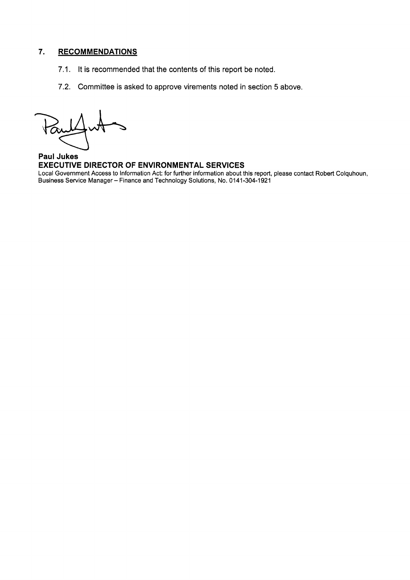# **7. RECOMMENDATIONS**

- 7.1. It is recommended that the contents of this report be noted.
- 7.2. Committee is asked to approve virements noted in section *5* above.

**Paul Jukes EXECUTIVE DIRECTOR OF ENVIRONMENTAL SERVICES**  Local Government Access to Information Act: for further information about this report, please contact Robert Colquhoun, Business Service Manager - Finance and Technology Solutions, No. **0141 -304-1 921**